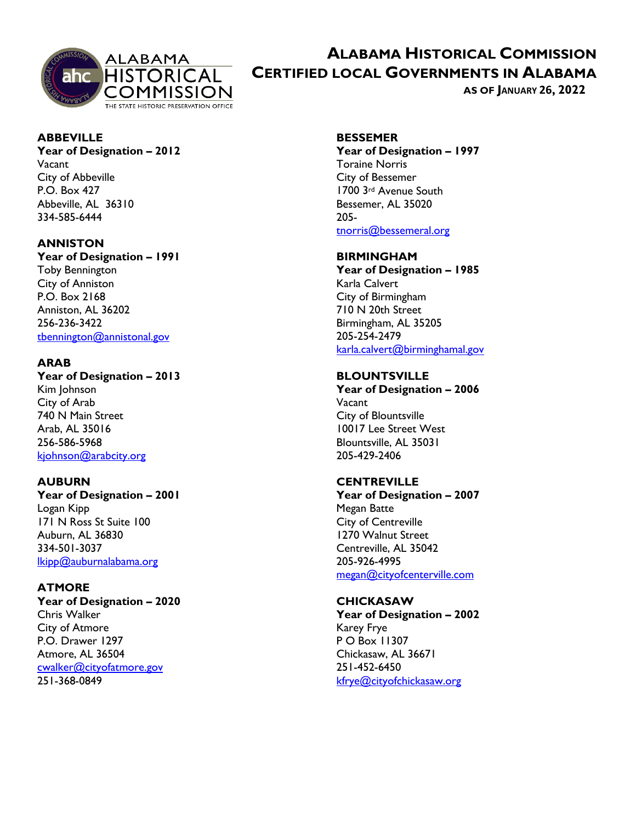

# **ALABAMA HISTORICAL COMMISSION CERTIFIED LOCAL GOVERNMENTS IN ALABAMA**

**AS OF JANUARY 26, 2022** 

# **ABBEVILLE**

#### **Year of Designation – 2012**  Vacant

City of Abbeville P.O. Box 427 Abbeville, AL 36310 334-585-6444

### **ANNISTON**

**Year of Designation – 1991** Toby Bennington City of Anniston P.O. Box 2168 Anniston, AL 36202 256-236-3422 [tbennington@annistonal.gov](mailto:tbennington@annistonal.gov)

### **ARAB**

**Year of Designation – 2013** Kim Johnson City of Arab 740 N Main Street Arab, AL 35016 256-586-5968 [kjohnson@arabcity.org](mailto:kjohnson@arabcity.org) 

## **AUBURN**

**Year of Designation – 2001** Logan Kipp 171 N Ross St Suite 100 Auburn, AL 36830 334-501-3037 [lkipp@auburnalabama.org](mailto:lkipp@auburnalabama.org) 

## **ATMORE**

**Year of Designation – 2020** Chris Walker City of Atmore P.O. Drawer 1297 Atmore, AL 36504 [cwalker@cityofatmore.gov](mailto:cwalker@cityofatmore.gov)  251-368-0849

## **BESSEMER**

**Year of Designation – 1997** Toraine Norris City of Bessemer 1700 3rd Avenue South Bessemer, AL 35020 205 [tnorris@bessemeral.org](mailto:tnorris@bessemeral.org)

#### **BIRMINGHAM**

**Year of Designation – 1985** Karla Calvert City of Birmingham 710 N 20th Street Birmingham, AL 35205 205-254-2479 [karla.calvert@birminghamal.gov](mailto:karla.calvert@birminghamal.gov) 

### **BLOUNTSVILLE**

**Year of Designation – 2006** Vacant City of Blountsville 10017 Lee Street West Blountsville, AL 35031 205-429-2406

### **CENTREVILLE**

**Year of Designation – 2007** Megan Batte City of Centreville 1270 Walnut Street Centreville, AL 35042 205-926-4995 [megan@cityofcenterville.com](mailto:megan@cityofcenterville.com) 

### **CHICKASAW**

**Year of Designation – 2002** Karey Frye P O Box 11307 Chickasaw, AL 36671 251-452-6450 [kfrye@cityofchickasaw.org](mailto:kfrye@cityofchickasaw.org)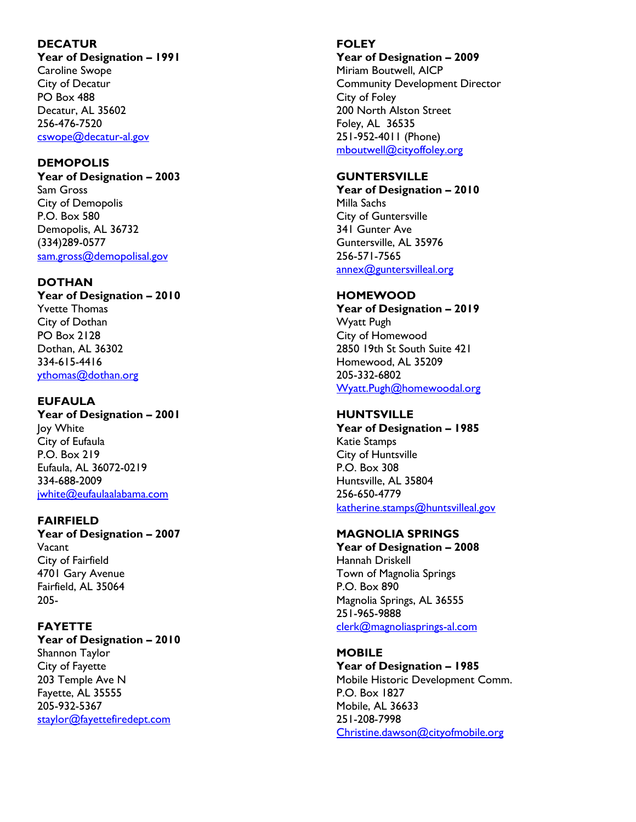#### **DECATUR**

**Year of Designation – 1991** Caroline Swope City of Decatur PO Box 488 Decatur, AL 35602 256-476-7520 [cswope@decatur](mailto:cswope@decatur-al.gov) -al.gov

#### **DEMOPOLIS**

**Year of Designation – 2003** Sam Gross City of Demopolis P.O. Box 580 Demopolis, AL 36732 (334)289-0577 [sam.gross@demopolisal.gov](mailto:sam.gross@demopolisal.gov) 

#### **DOTHAN**

**Year of Designation – 2010** Yvette Thomas City of Dothan PO Box 2128 Dothan, AL 36302 334-615-4416 [ythomas@dothan.org](mailto:ythomas@dothan.org) 

#### **EUFAULA**

**Year of Designation – 2001** Joy White City of Eufaula P.O. Box 219 Eufaula, AL 36072-0219 334-688-2009 [jwhite@eufaulaalabama.com](mailto:jwhite@eufaulaalabama.com) 

#### **FAIRFIELD**

**Year of Designation – 2007** Vacant City of Fairfield 4701 Gary Avenue Fairfield, AL 35064 205-

#### **FAYETTE**

**Year of Designation – 2010** Shannon Taylor City of Fayette 203 Temple Ave N Fayette, AL 35555 205-932-5367 [staylor@fayettefiredept.com](mailto:staylor@fayettefiredept.com) 

#### **FOLEY**

**Year of Designation – 2009**

Miriam Boutwell, AICP Community Development Director City of Foley 200 North Alston Street Foley, AL 36535 251-952-4011 (Phone) [mboutwell@cityoffoley.org](mailto:mboutwell@cityoffoley.org) 

#### **GUNTERSVILLE**

**Year of Designation – 2010** Milla Sachs City of Guntersville 341 Gunter Ave Guntersville, AL 35976 256-571-7565 annex@guntersvilleal.org

#### **HOMEWOOD**

**Year of Designation – 2019** Wyatt Pugh City of Homewood 2850 19th St South Suite 421 Homewood, AL 35209 205-332-6802 [Wyatt.Pugh@homewoodal.org](mailto:Wyatt.Pugh@homewoodal.org) 

#### **HUNTSVILLE**

**Year of Designation – 1985** Katie Stamps City of Huntsville P.O. Box 308 Huntsville, AL 35804 256-650-4779 [katherine.stamps@huntsvilleal.gov](mailto:katherine.stamps@huntsvilleal.gov) 

#### **MAGNOLIA SPRINGS**

**Year of Designation – 2008** Hannah Driskell Town of Magnolia Springs P.O. Box 890 Magnolia Springs, AL 36555 251-965-9888 [clerk@magnoliasprings](mailto:clerk@magnoliasprings-al.com) -al.com

#### **MOBILE**

**Year of Designation – 1985** Mobile Historic Development Comm. P.O. Box 1827 Mobile, AL 36633 251-208-7998 [Christine.dawson@cityofmobile.org](mailto:Christine.dawson@cityofmobile.org)